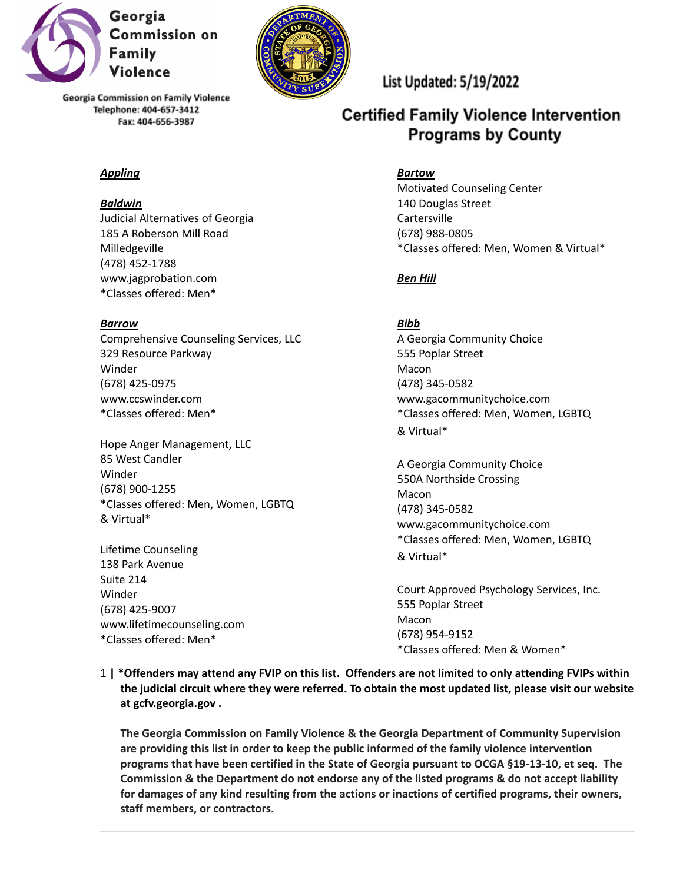

### *Appling*

#### *Baldwin*

Judicial Alternatives of Georgia 185 A Roberson Mill Road Milledgeville (478) 452-1788 www.jagprobation.com \*Classes offered: Men\*

#### *Barrow*

Comprehensive Counseling Services, LLC 329 Resource Parkway Winder (678) 425-0975 www.ccswinder.com \*Classes offered: Men\*

Hope Anger Management, LLC 85 West Candler Winder (678) 900-1255 \*Classes offered: Men, Women, LGBTQ & Virtual\*

Lifetime Counseling 138 Park Avenue Suite 214 Winder (678) 425-9007 www.lifetimecounseling.com \*Classes offered: Men\*



# List Updated: 5/19/2022

# **Certified Family Violence Intervention Programs by County**

#### *Bartow*

Motivated Counseling Center 140 Douglas Street **Cartersville** (678) 988-0805 \*Classes offered: Men, Women & Virtual\*

### *Ben Hill*

### *Bibb*

A Georgia Community Choice 555 Poplar Street Macon (478) 345-0582 www.gacommunitychoice.com \*Classes offered: Men, Women, LGBTQ & Virtual\*

A Georgia Community Choice 550A Northside Crossing Macon (478) 345-0582 www.gacommunitychoice.com \*Classes offered: Men, Women, LGBTQ & Virtual\*

Court Approved Psychology Services, Inc. 555 Poplar Street Macon (678) 954-9152 \*Classes offered: Men & Women\*

1 | \*Offenders may attend any FVIP on this list. Offenders are not limited to only attending FVIPs within **the judicial circuit where they were referred. To obtain the most updated list, please visit our website at gcfv.georgia.gov .**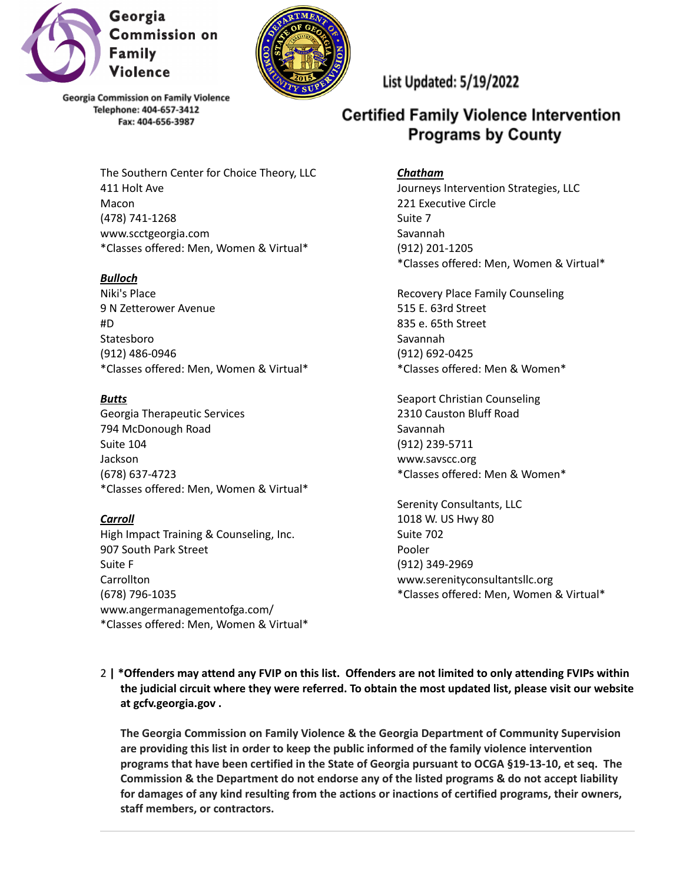



> The Southern Center for Choice Theory, LLC 411 Holt Ave Macon (478) 741-1268 www.scctgeorgia.com \*Classes offered: Men, Women & Virtual\*

### *Bulloch*

Niki's Place 9 N Zetterower Avenue #D Statesboro (912) 486-0946 \*Classes offered: Men, Women & Virtual\*

#### *Butts*

Georgia Therapeutic Services 794 McDonough Road Suite 104 Jackson (678) 637-4723 \*Classes offered: Men, Women & Virtual\*

#### *Carroll*

High Impact Training & Counseling, Inc. 907 South Park Street Suite F **Carrollton** (678) 796-1035 www.angermanagementofga.com/ \*Classes offered: Men, Women & Virtual\* List Updated: 5/19/2022

# **Certified Family Violence Intervention Programs by County**

#### *Chatham*

Journeys Intervention Strategies, LLC 221 Executive Circle Suite 7 Savannah (912) 201-1205 \*Classes offered: Men, Women & Virtual\*

Recovery Place Family Counseling 515 E. 63rd Street 835 e. 65th Street Savannah (912) 692-0425 \*Classes offered: Men & Women\*

Seaport Christian Counseling 2310 Causton Bluff Road Savannah (912) 239-5711 www.savscc.org \*Classes offered: Men & Women\*

Serenity Consultants, LLC 1018 W. US Hwy 80 Suite 702 Pooler (912) 349-2969 www.serenityconsultantsllc.org \*Classes offered: Men, Women & Virtual\*

2 | \*Offenders may attend any FVIP on this list. Offenders are not limited to only attending FVIPs within **the judicial circuit where they were referred. To obtain the most updated list, please visit our website at gcfv.georgia.gov .**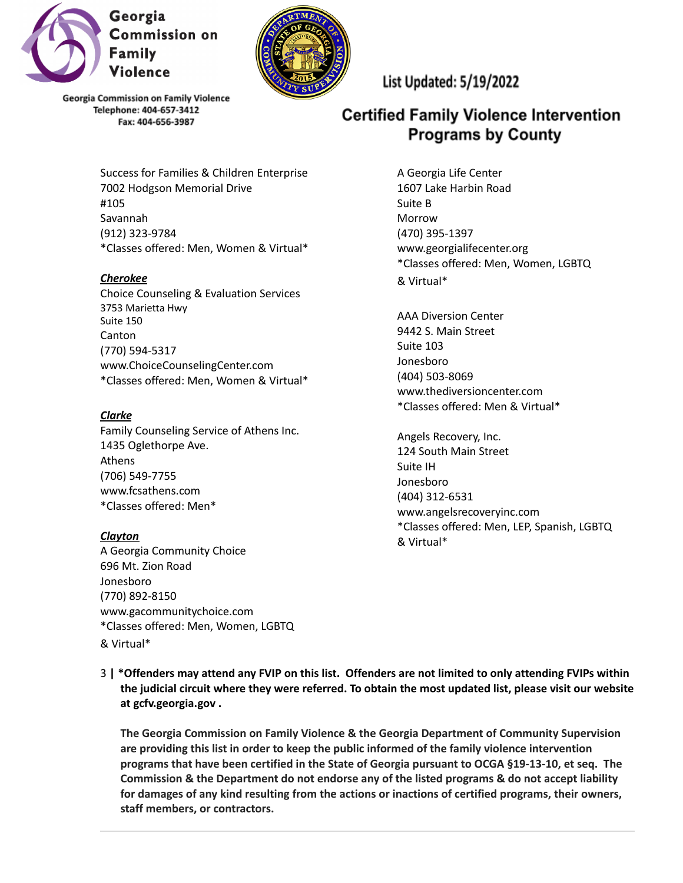



> Success for Families & Children Enterprise 7002 Hodgson Memorial Drive #105 Savannah (912) 323-9784 \*Classes offered: Men, Women & Virtual\*

### *Cherokee*

Choice Counseling & Evaluation Services 3753 Marietta Hwy Suite 150 Canton (770) 594-5317 www.ChoiceCounselingCenter.com \*Classes offered: Men, Women & Virtual\*

#### *Clarke*

Family Counseling Service of Athens Inc. 1435 Oglethorpe Ave. Athens (706) 549-7755 www.fcsathens.com \*Classes offered: Men\*

#### *Clayton*

A Georgia Community Choice 696 Mt. Zion Road Jonesboro (770) 892-8150 www.gacommunitychoice.com \*Classes offered: Men, Women, LGBTQ & Virtual\*

List Updated: 5/19/2022

# **Certified Family Violence Intervention Programs by County**

A Georgia Life Center 1607 Lake Harbin Road Suite B Morrow (470) 395-1397 www.georgialifecenter.org \*Classes offered: Men, Women, LGBTQ & Virtual\*

AAA Diversion Center 9442 S. Main Street Suite 103 Jonesboro (404) 503-8069 www.thediversioncenter.com \*Classes offered: Men & Virtual\*

Angels Recovery, Inc. 124 South Main Street Suite IH Jonesboro (404) 312-6531 www.angelsrecoveryinc.com \*Classes offered: Men, LEP, Spanish, LGBTQ & Virtual\*

3 | \*Offenders may attend any FVIP on this list. Offenders are not limited to only attending FVIPs within **the judicial circuit where they were referred. To obtain the most updated list, please visit our website at gcfv.georgia.gov .**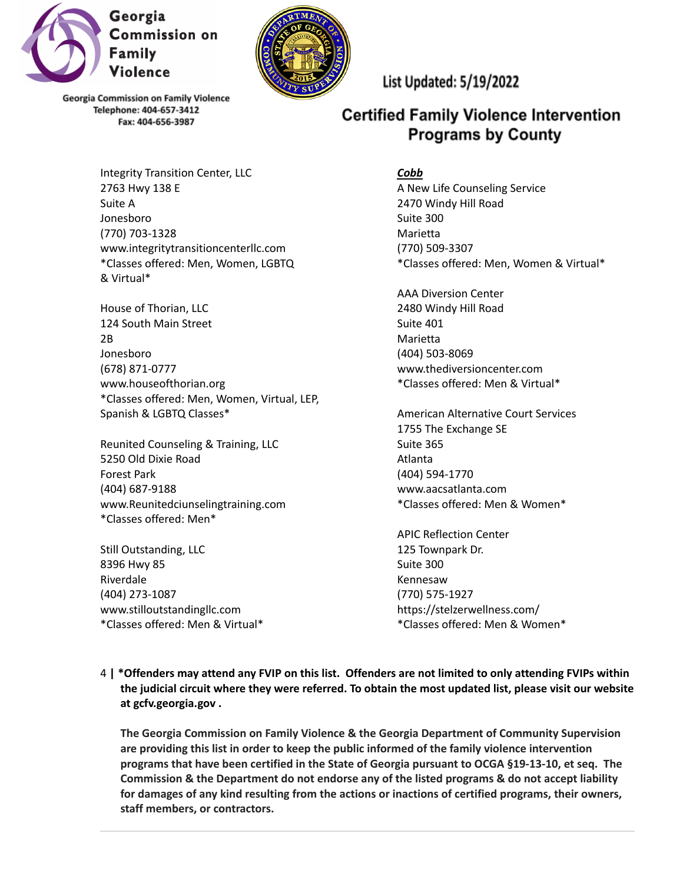



Integrity Transition Center, LLC 2763 Hwy 138 E Suite A Jonesboro (770) 703-1328 www.integritytransitioncenterllc.com \*Classes offered: Men, Women, LGBTQ & Virtual\*

House of Thorian, LLC 124 South Main Street 2B Jonesboro (678) 871-0777 www.houseofthorian.org \*Classes offered: Men, Women, Virtual, LEP, Spanish & LGBTQ Classes\*

Reunited Counseling & Training, LLC 5250 Old Dixie Road Forest Park (404) 687-9188 www.Reunitedciunselingtraining.com \*Classes offered: Men\*

Still Outstanding, LLC 8396 Hwy 85 Riverdale (404) 273-1087 www.stilloutstandingllc.com \*Classes offered: Men & Virtual\* List Updated: 5/19/2022

# **Certified Family Violence Intervention Programs by County**

# *Cobb*

A New Life Counseling Service 2470 Windy Hill Road Suite 300 Marietta (770) 509-3307 \*Classes offered: Men, Women & Virtual\*

AAA Diversion Center 2480 Windy Hill Road Suite 401 Marietta (404) 503-8069 www.thediversioncenter.com \*Classes offered: Men & Virtual\*

American Alternative Court Services 1755 The Exchange SE Suite 365 Atlanta (404) 594-1770 www.aacsatlanta.com \*Classes offered: Men & Women\*

APIC Reflection Center 125 Townpark Dr. Suite 300 Kennesaw (770) 575-1927 https://stelzerwellness.com/ \*Classes offered: Men & Women\*

4 | \*Offenders may attend any FVIP on this list. Offenders are not limited to only attending FVIPs within **the judicial circuit where they were referred. To obtain the most updated list, please visit our website at gcfv.georgia.gov .**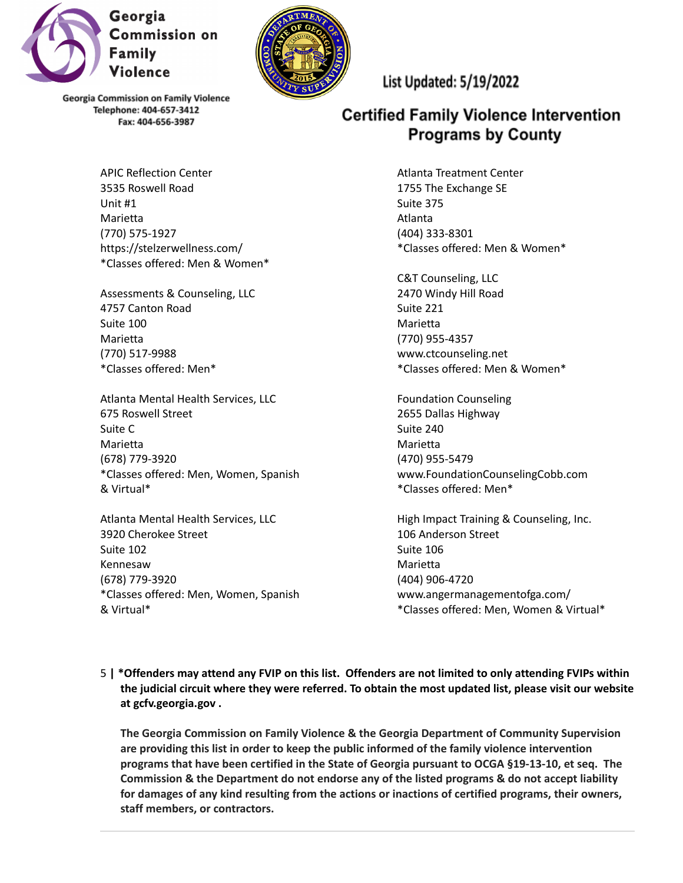

Unit #1 **Marietta** 

(770) 575-1927

4757 Canton Road

\*Classes offered: Men\*

675 Roswell Street

3920 Cherokee Street

Suite 100 Marietta (770) 517-9988

Suite C Marietta (678) 779-3920

& Virtual\*

Suite 102 Kennesaw (678) 779-3920

& Virtual\*



**Georgia Commission on Family Violence** Telephone: 404-657-3412 Fax: 404-656-3987

APIC Reflection Center 3535 Roswell Road

https://stelzerwellness.com/ \*Classes offered: Men & Women\*

Assessments & Counseling, LLC

Atlanta Mental Health Services, LLC

\*Classes offered: Men, Women, Spanish

\*Classes offered: Men, Women, Spanish

Atlanta Mental Health Services, LLC

List Updated: 5/19/2022

# **Certified Family Violence Intervention Programs by County**

Atlanta Treatment Center 1755 The Exchange SE Suite 375 Atlanta (404) 333-8301 \*Classes offered: Men & Women\*

C&T Counseling, LLC 2470 Windy Hill Road Suite 221 Marietta (770) 955-4357 www.ctcounseling.net \*Classes offered: Men & Women\*

Foundation Counseling 2655 Dallas Highway Suite 240 Marietta (470) 955-5479 www.FoundationCounselingCobb.com \*Classes offered: Men\*

High Impact Training & Counseling, Inc. 106 Anderson Street Suite 106 Marietta (404) 906-4720 www.angermanagementofga.com/ \*Classes offered: Men, Women & Virtual\*

5 | \*Offenders may attend any FVIP on this list. Offenders are not limited to only attending FVIPs within **the judicial circuit where they were referred. To obtain the most updated list, please visit our website at gcfv.georgia.gov .**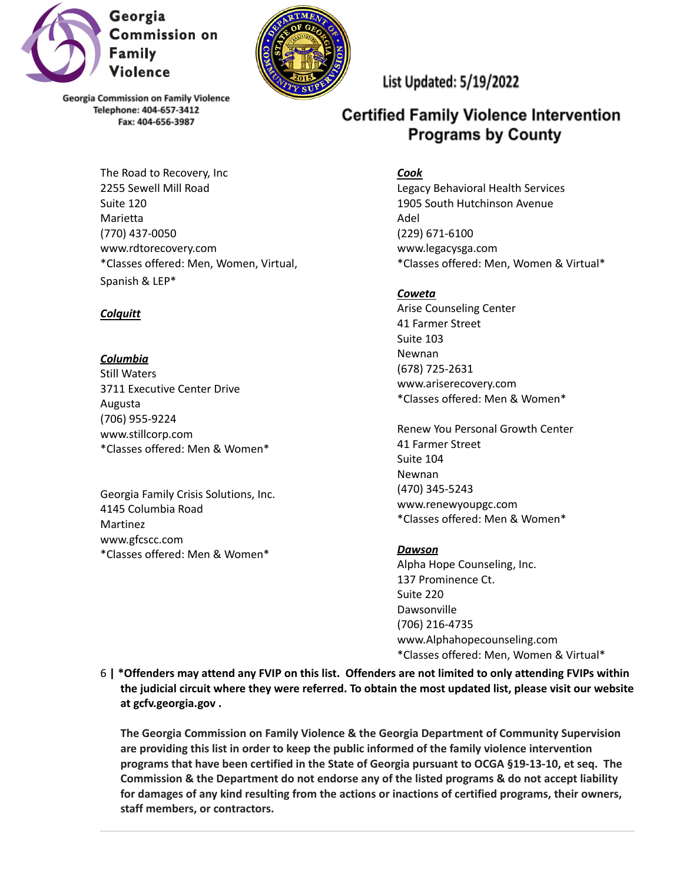



The Road to Recovery, Inc 2255 Sewell Mill Road Suite 120 **Marietta** (770) 437-0050 www.rdtorecovery.com \*Classes offered: Men, Women, Virtual, Spanish & LEP\*

### *Colquitt*

*Columbia* Still Waters 3711 Executive Center Drive Augusta (706) 955-9224 www.stillcorp.com \*Classes offered: Men & Women\*

Georgia Family Crisis Solutions, Inc. 4145 Columbia Road Martinez www.gfcscc.com \*Classes offered: Men & Women\*

# List Updated: 5/19/2022

# **Certified Family Violence Intervention Programs by County**

# *Cook*

Legacy Behavioral Health Services 1905 South Hutchinson Avenue Adel (229) 671-6100 www.legacysga.com \*Classes offered: Men, Women & Virtual\*

# *Coweta*

Arise Counseling Center 41 Farmer Street Suite 103 Newnan (678) 725-2631 www.ariserecovery.com \*Classes offered: Men & Women\*

Renew You Personal Growth Center 41 Farmer Street Suite 104 Newnan (470) 345-5243 www.renewyoupgc.com \*Classes offered: Men & Women\*

# *Dawson*

Alpha Hope Counseling, Inc. 137 Prominence Ct. Suite 220 Dawsonville (706) 216-4735 www.Alphahopecounseling.com \*Classes offered: Men, Women & Virtual\*

6 | \*Offenders may attend any FVIP on this list. Offenders are not limited to only attending FVIPs within **the judicial circuit where they were referred. To obtain the most updated list, please visit our website at gcfv.georgia.gov .**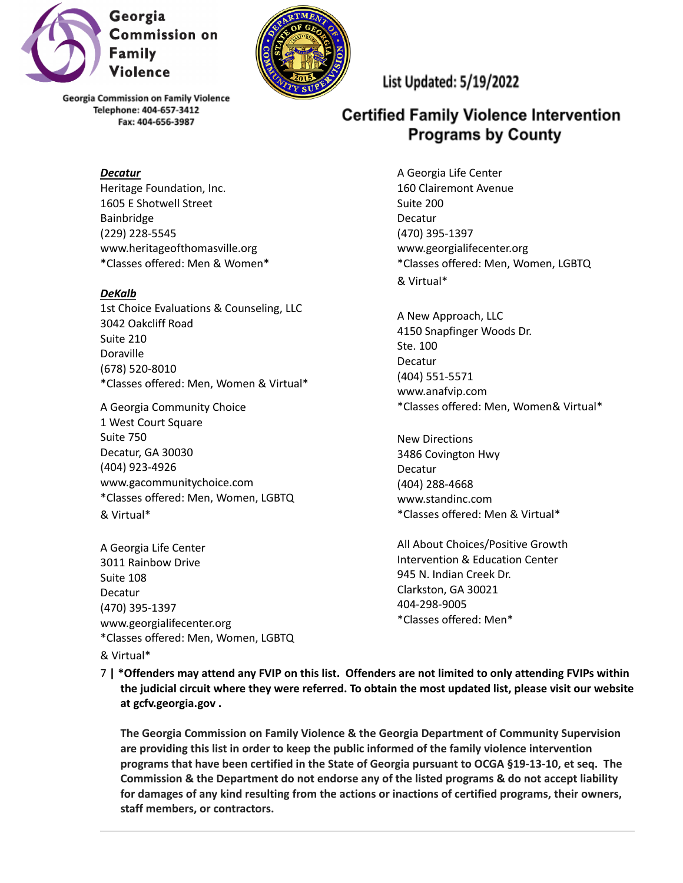

#### *Decatur*

Heritage Foundation, Inc. 1605 E Shotwell Street Bainbridge (229) 228-5545 www.heritageofthomasville.org \*Classes offered: Men & Women\*

### *DeKalb*

1st Choice Evaluations & Counseling, LLC 3042 Oakcliff Road Suite 210 Doraville (678) 520-8010 \*Classes offered: Men, Women & Virtual\*

A Georgia Community Choice 1 West Court Square Suite 750 Decatur, GA 30030 (404) 923-4926 www.gacommunitychoice.com \*Classes offered: Men, Women, LGBTQ & Virtual\*

A Georgia Life Center 3011 Rainbow Drive Suite 108 Decatur (470) 395-1397 www.georgialifecenter.org \*Classes offered: Men, Women, LGBTQ

# List Updated: 5/19/2022

# **Certified Family Violence Intervention Programs by County**

A Georgia Life Center 160 Clairemont Avenue Suite 200 Decatur (470) 395-1397 www.georgialifecenter.org \*Classes offered: Men, Women, LGBTQ & Virtual\*

A New Approach, LLC 4150 Snapfinger Woods Dr. Ste. 100 Decatur (404) 551-5571 www.anafvip.com \*Classes offered: Men, Women& Virtual\*

New Directions 3486 Covington Hwy Decatur (404) 288-4668 www.standinc.com \*Classes offered: Men & Virtual\*

All About Choices/Positive Growth Intervention & Education Center 945 N. Indian Creek Dr. Clarkston, GA 30021 404-298-9005 \*Classes offered: Men\*

### & Virtual\*

7 | \*Offenders may attend any FVIP on this list. Offenders are not limited to only attending FVIPs within **the judicial circuit where they were referred. To obtain the most updated list, please visit our website at gcfv.georgia.gov .**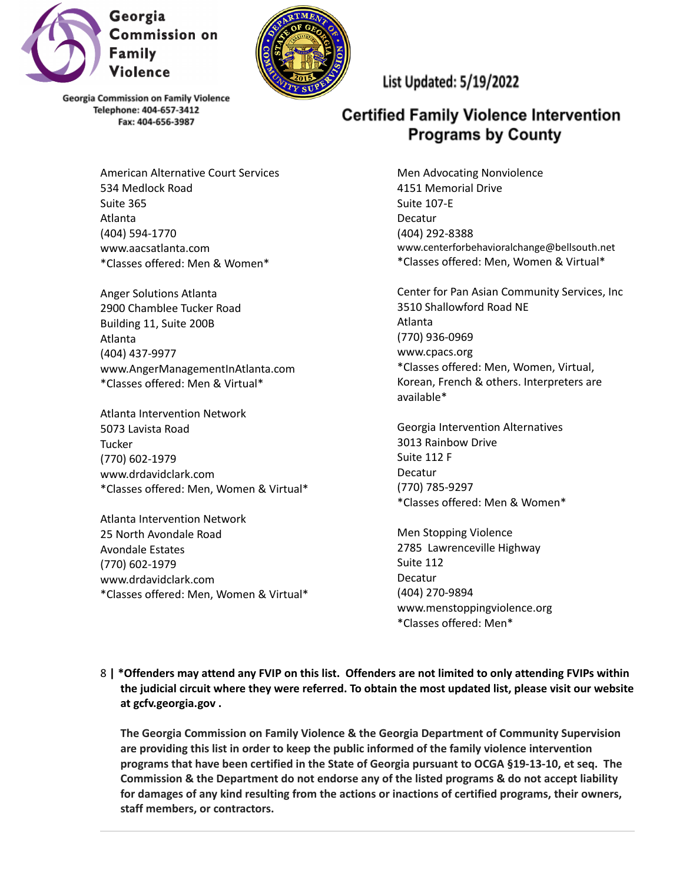



> American Alternative Court Services 534 Medlock Road Suite 365 Atlanta (404) 594-1770 www.aacsatlanta.com \*Classes offered: Men & Women\*

Anger Solutions Atlanta 2900 Chamblee Tucker Road Building 11, Suite 200B Atlanta (404) 437-9977 www.AngerManagementInAtlanta.com \*Classes offered: Men & Virtual\*

Atlanta Intervention Network 5073 Lavista Road **Tucker** (770) 602-1979 www.drdavidclark.com \*Classes offered: Men, Women & Virtual\*

Atlanta Intervention Network 25 North Avondale Road Avondale Estates (770) 602-1979 www.drdavidclark.com \*Classes offered: Men, Women & Virtual\* List Updated: 5/19/2022

# **Certified Family Violence Intervention Programs by County**

Men Advocating Nonviolence 4151 Memorial Drive Suite 107-E Decatur (404) 292-8388 www.centerforbehavioralchange@bellsouth.net \*Classes offered: Men, Women & Virtual\*

Center for Pan Asian Community Services, Inc 3510 Shallowford Road NE Atlanta (770) 936-0969 www.cpacs.org \*Classes offered: Men, Women, Virtual, Korean, French & others. Interpreters are available\*

Georgia Intervention Alternatives 3013 Rainbow Drive Suite 112 F Decatur (770) 785-9297 \*Classes offered: Men & Women\*

Men Stopping Violence 2785 Lawrenceville Highway Suite 112 Decatur (404) 270-9894 www.menstoppingviolence.org \*Classes offered: Men\*

8 | \*Offenders may attend any FVIP on this list. Offenders are not limited to only attending FVIPs within **the judicial circuit where they were referred. To obtain the most updated list, please visit our website at gcfv.georgia.gov .**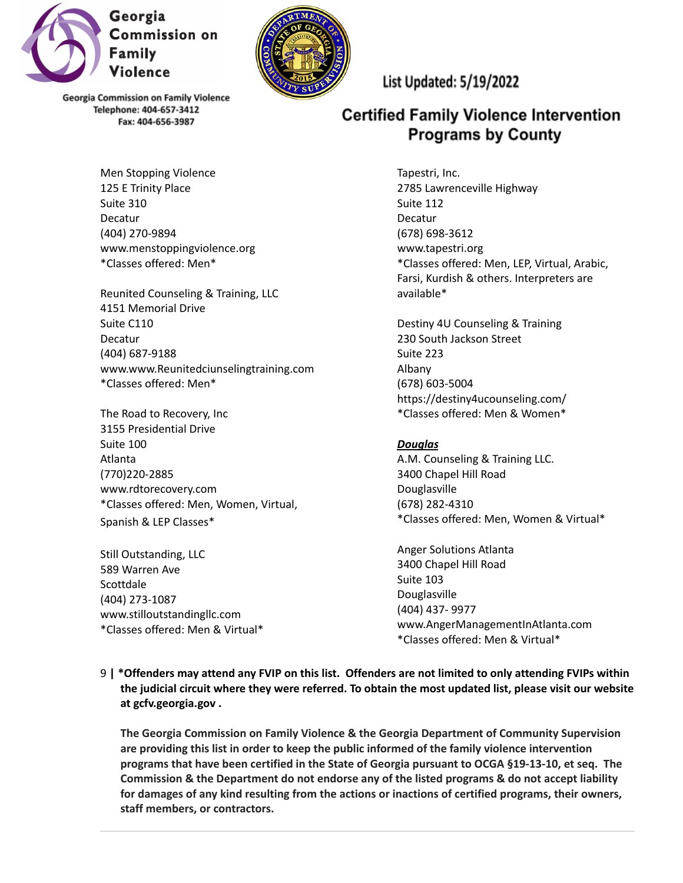



Men Stopping Violence 125 E Trinity Place Suite 310 Decatur (404) 270-9894 www.menstoppingviolence.org \*Classes offered: Men\*

Reunited Counseling & Training, LLC 4151 Memorial Drive Suite C110 Decatur (404) 687-9188 www.www.Reunitedciunselingtraining.com \*Classes offered: Men\*

The Road to Recovery, Inc 3155 Presidential Drive Suite 100 Atlanta (770)220-2885 www.rdtorecovery.com \*Classes offered: Men, Women, Virtual, Spanish & LEP Classes\*

Still Outstanding, LLC 589 Warren Ave **Scottdale** (404) 273-1087 www.stilloutstandingllc.com \*Classes offered: Men & Virtual\* List Updated: 5/19/2022

# **Certified Family Violence Intervention Programs by County**

Tapestri, Inc. 2785 Lawrenceville Highway Suite 112 Decatur (678) 698-3612 www.tapestri.org \*Classes offered: Men, LEP, Virtual, Arabic, Farsi, Kurdish & others. Interpreters are available\*

Destiny 4U Counseling & Training 230 South Jackson Street Suite 223 Albany (678) 603-5004 https://destiny4ucounseling.com/ \*Classes offered: Men & Women\*

# *Douglas*

A.M. Counseling & Training LLC. 3400 Chapel Hill Road Douglasville (678) 282-4310 \*Classes offered: Men, Women & Virtual\*

Anger Solutions Atlanta 3400 Chapel Hill Road Suite 103 Douglasville (404) 437- 9977 www.AngerManagementInAtlanta.com \*Classes offered: Men & Virtual\*

9 | \*Offenders may attend any FVIP on this list. Offenders are not limited to only attending FVIPs within **the judicial circuit where they were referred. To obtain the most updated list, please visit our website at gcfv.georgia.gov .**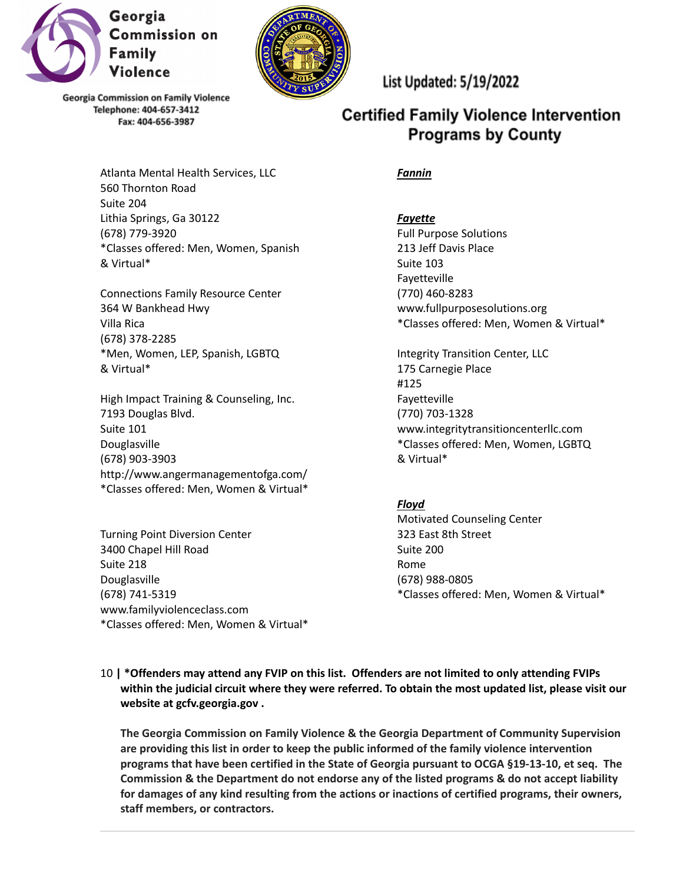



List Updated: 5/19/2022

# **Certified Family Violence Intervention Programs by County**

*Fannin*

Atlanta Mental Health Services, LLC 560 Thornton Road Suite 204 Lithia Springs, Ga 30122 (678) 779-3920 \*Classes offered: Men, Women, Spanish & Virtual\*

Connections Family Resource Center 364 W Bankhead Hwy Villa Rica (678) 378-2285 \*Men, Women, LEP, Spanish, LGBTQ & Virtual\*

High Impact Training & Counseling, Inc. 7193 Douglas Blvd. Suite 101 Douglasville (678) 903-3903 http://www.angermanagementofga.com/ \*Classes offered: Men, Women & Virtual\*

Turning Point Diversion Center 3400 Chapel Hill Road Suite 218 Douglasville (678) 741-5319 www.familyviolenceclass.com \*Classes offered: Men, Women & Virtual\* *Fayette* Full Purpose Solutions 213 Jeff Davis Place Suite 103 Fayetteville (770) 460-8283 www.fullpurposesolutions.org \*Classes offered: Men, Women & Virtual\*

Integrity Transition Center, LLC 175 Carnegie Place #125 Fayetteville (770) 703-1328 www.integritytransitioncenterllc.com \*Classes offered: Men, Women, LGBTQ & Virtual\*

### *Floyd*

Motivated Counseling Center 323 East 8th Street Suite 200 Rome (678) 988-0805 \*Classes offered: Men, Women & Virtual\*

10 **| \*Offenders may attend any FVIP on this list. Offenders are not limited to only attending FVIPs within the judicial circuit where they were referred. To obtain the most updated list, please visit our website at gcfv.georgia.gov .**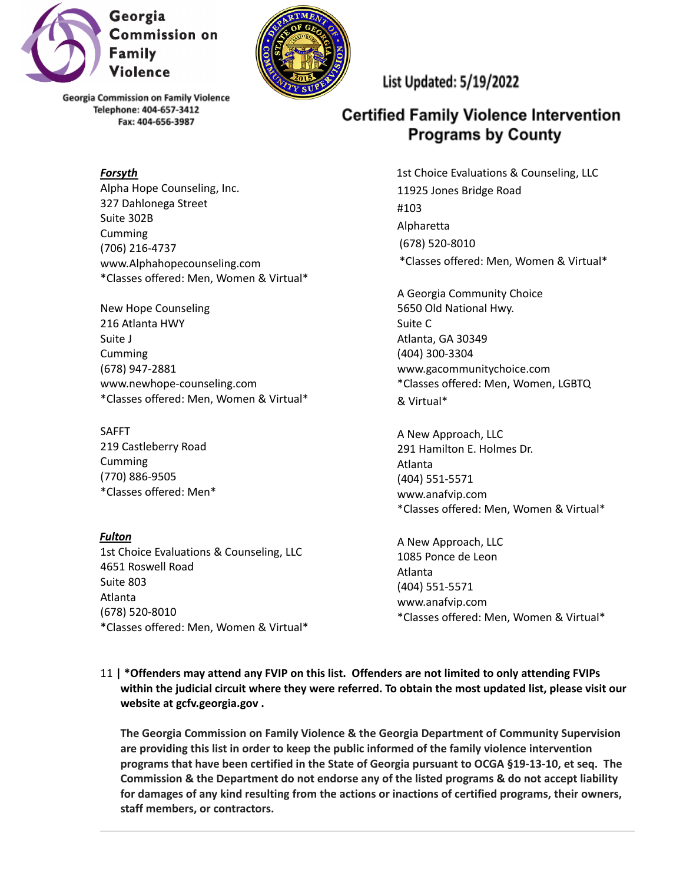

#### *Forsyth*

Alpha Hope Counseling, Inc. 327 Dahlonega Street Suite 302B Cumming (706) 216-4737 www.Alphahopecounseling.com \*Classes offered: Men, Women & Virtual\*

New Hope Counseling 216 Atlanta HWY Suite J Cumming (678) 947-2881 www.newhope-counseling.com \*Classes offered: Men, Women & Virtual\*

SAFFT 219 Castleberry Road Cumming (770) 886-9505 \*Classes offered: Men\*

*Fulton* 1st Choice Evaluations & Counseling, LLC 4651 Roswell Road Suite 803 Atlanta (678) 520-8010 \*Classes offered: Men, Women & Virtual\* List Updated: 5/19/2022

# **Certified Family Violence Intervention Programs by County**

1st Choice Evaluations & Counseling, LLC 11925 Jones Bridge Road #103 Alpharetta (678) 520-8010 \*Classes offered: Men, Women & Virtual\*

A Georgia Community Choice 5650 Old National Hwy. Suite C Atlanta, GA 30349 (404) 300-3304 www.gacommunitychoice.com \*Classes offered: Men, Women, LGBTQ & Virtual\*

A New Approach, LLC 291 Hamilton E. Holmes Dr. Atlanta (404) 551-5571 www.anafvip.com \*Classes offered: Men, Women & Virtual\*

A New Approach, LLC 1085 Ponce de Leon Atlanta (404) 551-5571 www.anafvip.com \*Classes offered: Men, Women & Virtual\*

11 **| \*Offenders may attend any FVIP on this list. Offenders are not limited to only attending FVIPs within the judicial circuit where they were referred. To obtain the most updated list, please visit our website at gcfv.georgia.gov .**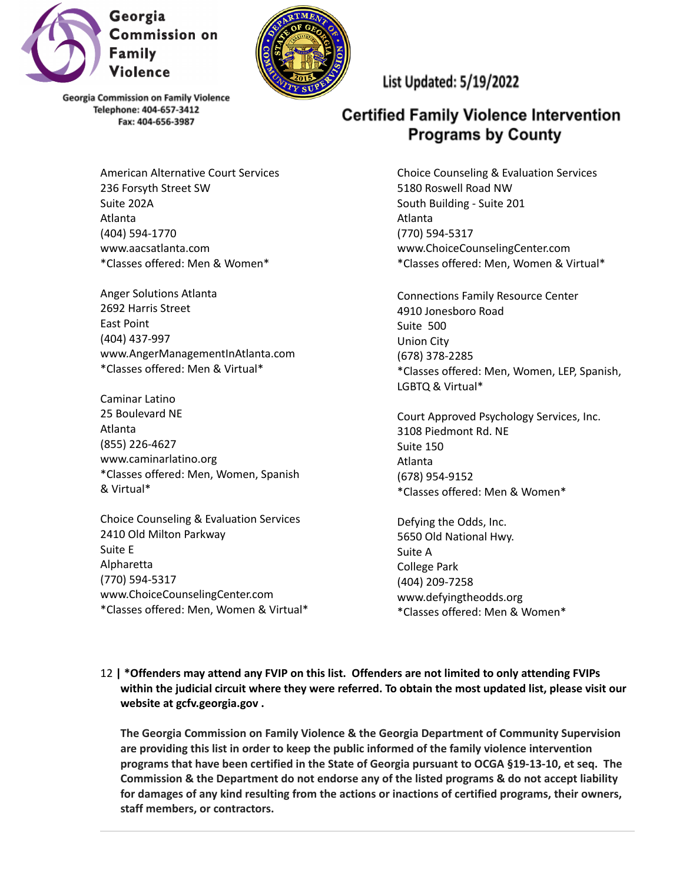



> American Alternative Court Services 236 Forsyth Street SW Suite 202A Atlanta (404) 594-1770 www.aacsatlanta.com \*Classes offered: Men & Women\*

Anger Solutions Atlanta 2692 Harris Street East Point (404) 437-997 www.AngerManagementInAtlanta.com \*Classes offered: Men & Virtual\*

Caminar Latino 25 Boulevard NE Atlanta (855) 226-4627 www.caminarlatino.org \*Classes offered: Men, Women, Spanish & Virtual\*

Choice Counseling & Evaluation Services 2410 Old Milton Parkway Suite E Alpharetta (770) 594-5317 www.ChoiceCounselingCenter.com \*Classes offered: Men, Women & Virtual\* List Updated: 5/19/2022

# **Certified Family Violence Intervention Programs by County**

Choice Counseling & Evaluation Services 5180 Roswell Road NW South Building - Suite 201 Atlanta (770) 594-5317 www.ChoiceCounselingCenter.com \*Classes offered: Men, Women & Virtual\*

Connections Family Resource Center 4910 Jonesboro Road Suite 500 Union City (678) 378-2285 \*Classes offered: Men, Women, LEP, Spanish, LGBTQ & Virtual\*

Court Approved Psychology Services, Inc. 3108 Piedmont Rd. NE Suite 150 Atlanta (678) 954-9152 \*Classes offered: Men & Women\*

Defying the Odds, Inc. 5650 Old National Hwy. Suite A College Park (404) 209-7258 www.defyingtheodds.org \*Classes offered: Men & Women\*

12 **| \*Offenders may attend any FVIP on this list. Offenders are not limited to only attending FVIPs within the judicial circuit where they were referred. To obtain the most updated list, please visit our website at gcfv.georgia.gov .**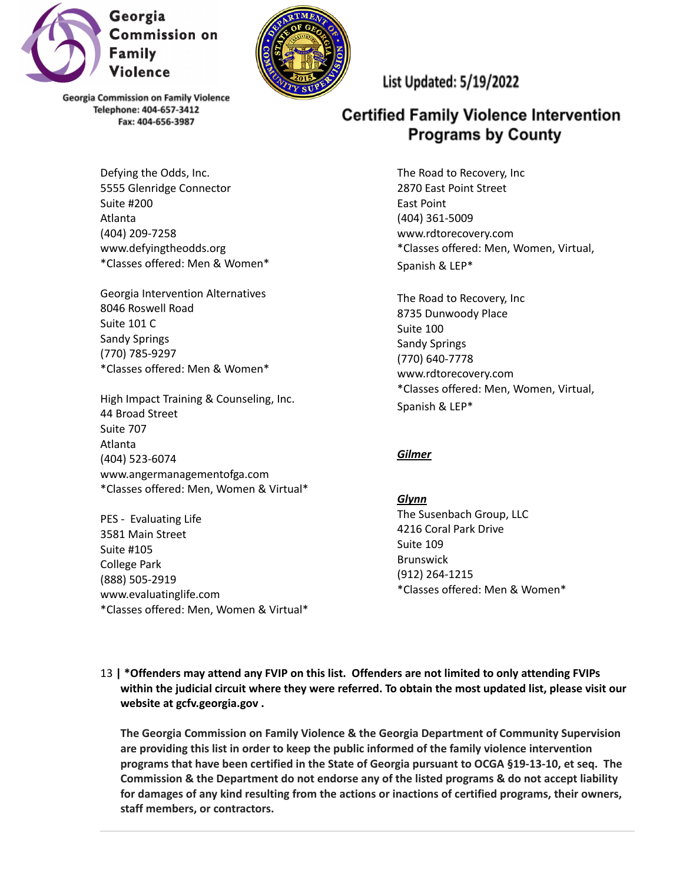



Defying the Odds, Inc. 5555 Glenridge Connector Suite #200 Atlanta (404) 209-7258 www.defyingtheodds.org \*Classes offered: Men & Women\*

Georgia Intervention Alternatives 8046 Roswell Road Suite 101 C Sandy Springs (770) 785-9297 \*Classes offered: Men & Women\*

High Impact Training & Counseling, Inc. 44 Broad Street Suite 707 Atlanta (404) 523-6074 www.angermanagementofga.com \*Classes offered: Men, Women & Virtual\*

PES - Evaluating Life 3581 Main Street Suite #105 College Park (888) 505-2919 www.evaluatinglife.com \*Classes offered: Men, Women & Virtual\* List Updated: 5/19/2022

# **Certified Family Violence Intervention Programs by County**

The Road to Recovery, Inc 2870 East Point Street East Point (404) 361-5009 www.rdtorecovery.com \*Classes offered: Men, Women, Virtual, Spanish & LEP\*

The Road to Recovery, Inc 8735 Dunwoody Place Suite 100 Sandy Springs (770) 640-7778 www.rdtorecovery.com \*Classes offered: Men, Women, Virtual, Spanish & LEP\*

# *Gilmer*

*Glynn* The Susenbach Group, LLC 4216 Coral Park Drive Suite 109 Brunswick (912) 264-1215 \*Classes offered: Men & Women\*

13 **| \*Offenders may attend any FVIP on this list. Offenders are not limited to only attending FVIPs within the judicial circuit where they were referred. To obtain the most updated list, please visit our website at gcfv.georgia.gov .**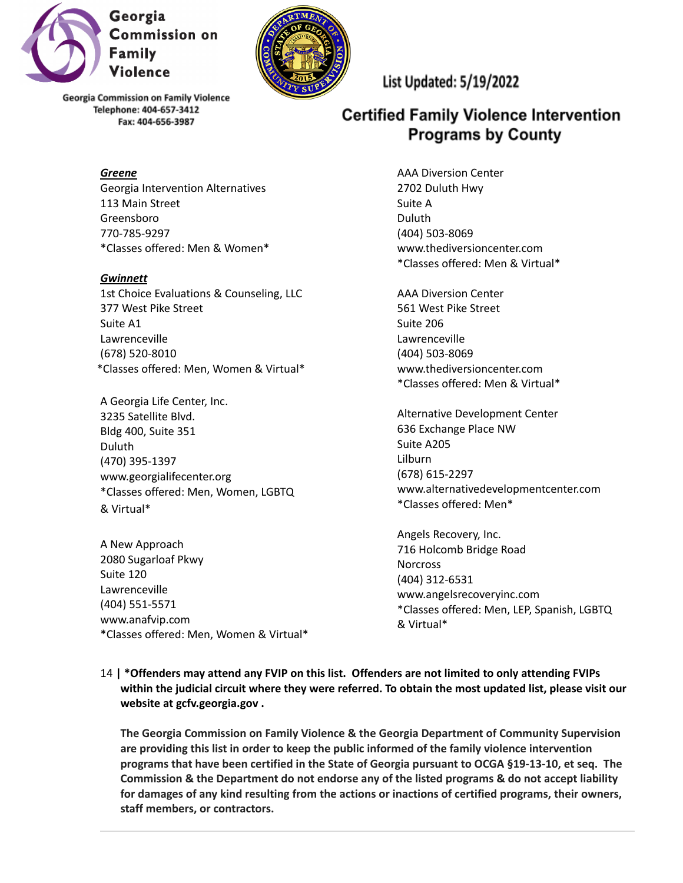

*Greene* Georgia Intervention Alternatives 113 Main Street Greensboro 770-785-9297 \*Classes offered: Men & Women\*

*Gwinnett* 1st Choice Evaluations & Counseling, LLC 377 West Pike Street Suite A1 Lawrenceville (678) 520-8010 \*Classes offered: Men, Women & Virtual\*

A Georgia Life Center, Inc. 3235 Satellite Blvd. Bldg 400, Suite 351 Duluth (470) 395-1397 www.georgialifecenter.org \*Classes offered: Men, Women, LGBTQ & Virtual\*

A New Approach 2080 Sugarloaf Pkwy Suite 120 Lawrenceville (404) 551-5571 www.anafvip.com \*Classes offered: Men, Women & Virtual\* List Updated: 5/19/2022

# **Certified Family Violence Intervention Programs by County**

AAA Diversion Center 2702 Duluth Hwy Suite A Duluth (404) 503-8069 www.thediversioncenter.com \*Classes offered: Men & Virtual\*

AAA Diversion Center 561 West Pike Street Suite 206 Lawrenceville (404) 503-8069 www.thediversioncenter.com \*Classes offered: Men & Virtual\*

Alternative Development Center 636 Exchange Place NW Suite A205 Lilburn (678) 615-2297 www.alternativedevelopmentcenter.com \*Classes offered: Men\*

Angels Recovery, Inc. 716 Holcomb Bridge Road **Norcross** (404) 312-6531 www.angelsrecoveryinc.com \*Classes offered: Men, LEP, Spanish, LGBTQ & Virtual\*

14 **| \*Offenders may attend any FVIP on this list. Offenders are not limited to only attending FVIPs within the judicial circuit where they were referred. To obtain the most updated list, please visit our website at gcfv.georgia.gov .**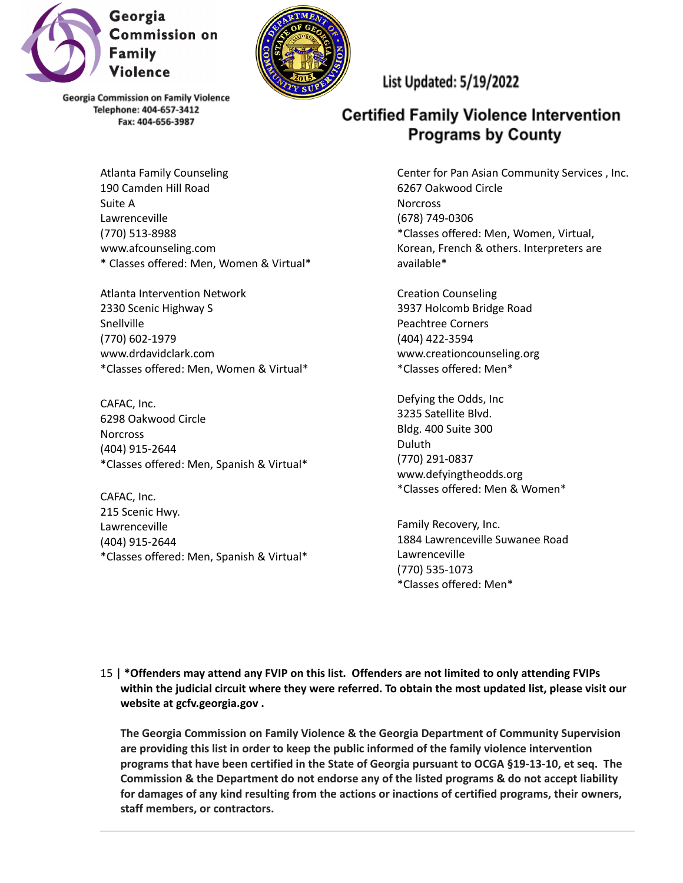

Suite A

Snellville (770) 602-1979

CAFAC, Inc.

(404) 915-2644

**Norcross** 

CAFAC, Inc. 215 Scenic Hwy. Lawrenceville (404) 915-2644

Lawrenceville (770) 513-8988



**Georgia Commission on Family Violence** Telephone: 404-657-3412 Fax: 404-656-3987

Atlanta Family Counseling 190 Camden Hill Road

www.afcounseling.com

2330 Scenic Highway S

www.drdavidclark.com

6298 Oakwood Circle

Atlanta Intervention Network

\* Classes offered: Men, Women & Virtual\*

\*Classes offered: Men, Women & Virtual\*

\*Classes offered: Men, Spanish & Virtual\*

\*Classes offered: Men, Spanish & Virtual\*

List Updated: 5/19/2022

# **Certified Family Violence Intervention Programs by County**

Center for Pan Asian Community Services , Inc. 6267 Oakwood Circle **Norcross** (678) 749-0306 \*Classes offered: Men, Women, Virtual, Korean, French & others. Interpreters are available\*

Creation Counseling 3937 Holcomb Bridge Road Peachtree Corners (404) 422-3594 www.creationcounseling.org \*Classes offered: Men\*

Defying the Odds, Inc 3235 Satellite Blvd. Bldg. 400 Suite 300 Duluth (770) 291-0837 www.defyingtheodds.org \*Classes offered: Men & Women\*

Family Recovery, Inc. 1884 Lawrenceville Suwanee Road Lawrenceville (770) 535-1073 \*Classes offered: Men\*

15 **| \*Offenders may attend any FVIP on this list. Offenders are not limited to only attending FVIPs within the judicial circuit where they were referred. To obtain the most updated list, please visit our website at gcfv.georgia.gov .**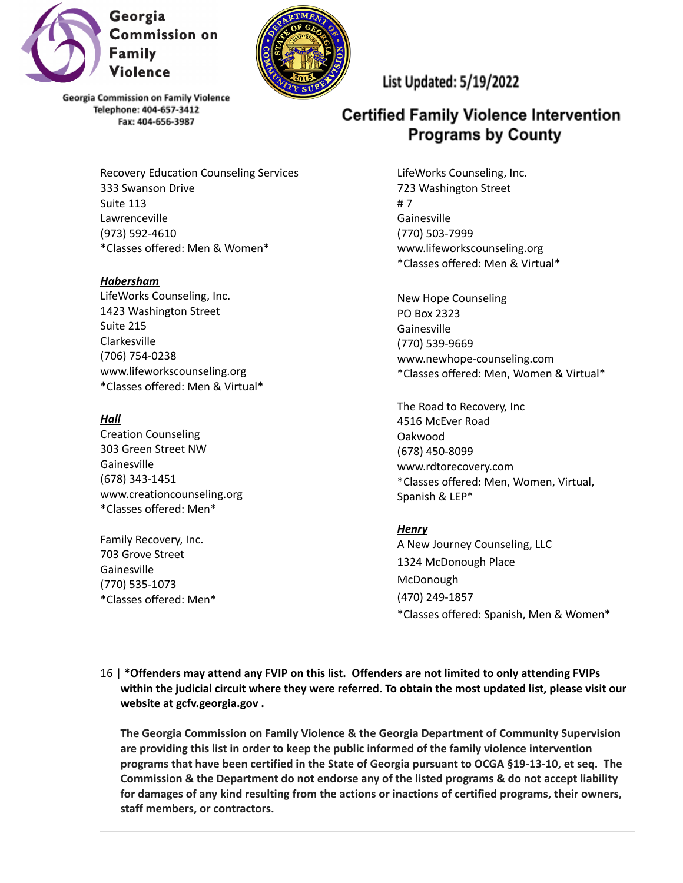



> Recovery Education Counseling Services 333 Swanson Drive Suite 113 Lawrenceville (973) 592-4610 \*Classes offered: Men & Women\*

*Habersham* LifeWorks Counseling, Inc. 1423 Washington Street Suite 215 Clarkesville (706) 754-0238 www.lifeworkscounseling.org \*Classes offered: Men & Virtual\*

### *Hall*

Creation Counseling 303 Green Street NW Gainesville (678) 343-1451 www.creationcounseling.org \*Classes offered: Men\*

Family Recovery, Inc. 703 Grove Street **Gainesville** (770) 535-1073 \*Classes offered: Men\* List Updated: 5/19/2022

# **Certified Family Violence Intervention Programs by County**

LifeWorks Counseling, Inc. 723 Washington Street # 7 Gainesville (770) 503-7999 www.lifeworkscounseling.org \*Classes offered: Men & Virtual\*

New Hope Counseling PO Box 2323 Gainesville (770) 539-9669 www.newhope-counseling.com \*Classes offered: Men, Women & Virtual\*

The Road to Recovery, Inc 4516 McEver Road Oakwood (678) 450-8099 www.rdtorecovery.com \*Classes offered: Men, Women, Virtual, Spanish & LEP\*

### *Henry*

A New Journey Counseling, LLC 1324 McDonough Place McDonough (470) 249-1857 \*Classes offered: Spanish, Men & Women\*

16 **| \*Offenders may attend any FVIP on this list. Offenders are not limited to only attending FVIPs within the judicial circuit where they were referred. To obtain the most updated list, please visit our website at gcfv.georgia.gov .**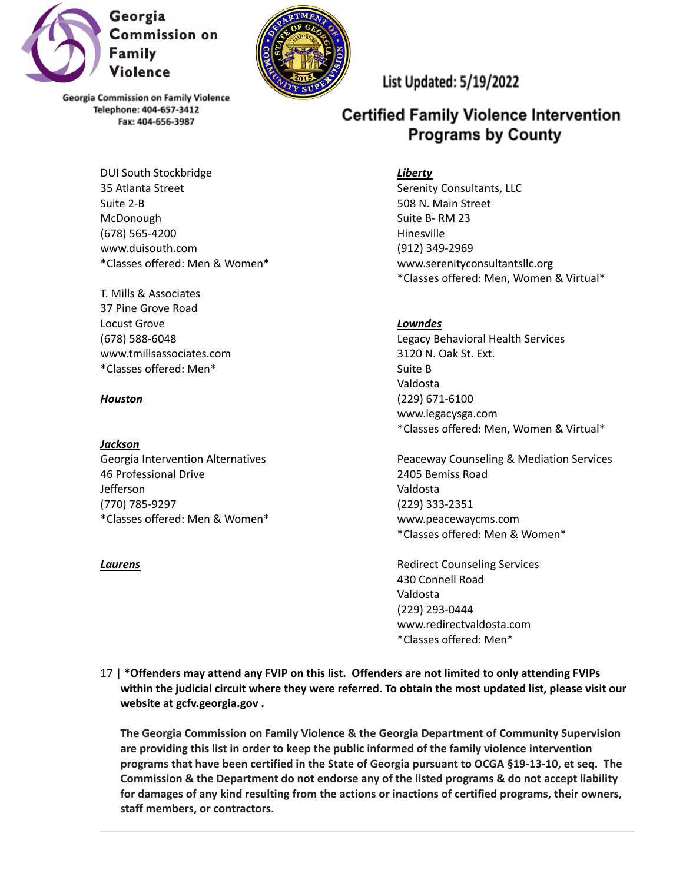



> DUI South Stockbridge 35 Atlanta Street Suite 2-B McDonough (678) 565-4200 www.duisouth.com \*Classes offered: Men & Women\*

T. Mills & Associates 37 Pine Grove Road Locust Grove (678) 588-6048 www.tmillsassociates.com \*Classes offered: Men\*

### *Houston*

#### *Jackson*

Georgia Intervention Alternatives 46 Professional Drive Jefferson (770) 785-9297 \*Classes offered: Men & Women\*

#### *Laurens*

List Updated: 5/19/2022

# **Certified Family Violence Intervention Programs by County**

#### *Liberty*

Serenity Consultants, LLC 508 N. Main Street Suite B- RM 23 Hinesville (912) 349-2969 www.serenityconsultantsllc.org \*Classes offered: Men, Women & Virtual\*

### *Lowndes*

Legacy Behavioral Health Services 3120 N. Oak St. Ext. Suite B Valdosta (229) 671-6100 www.legacysga.com \*Classes offered: Men, Women & Virtual\*

Peaceway Counseling & Mediation Services 2405 Bemiss Road Valdosta (229) 333-2351 www.peacewaycms.com \*Classes offered: Men & Women\*

Redirect Counseling Services 430 Connell Road Valdosta (229) 293-0444 www.redirectvaldosta.com \*Classes offered: Men\*

17 **| \*Offenders may attend any FVIP on this list. Offenders are not limited to only attending FVIPs within the judicial circuit where they were referred. To obtain the most updated list, please visit our website at gcfv.georgia.gov .**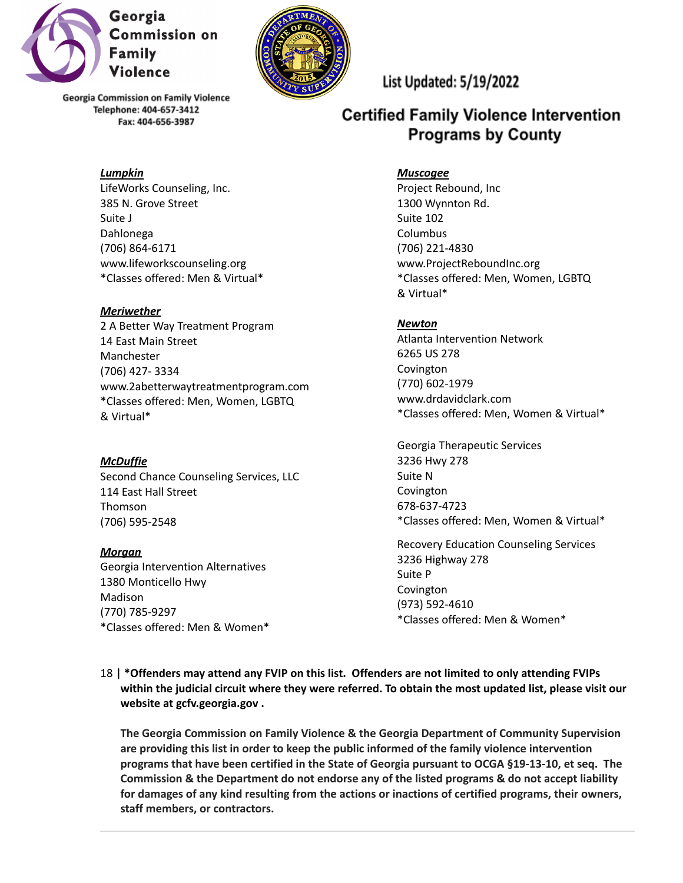

## *Lumpkin*

LifeWorks Counseling, Inc. 385 N. Grove Street Suite J Dahlonega (706) 864-6171 www.lifeworkscounseling.org \*Classes offered: Men & Virtual\*

### *Meriwether*

2 A Better Way Treatment Program 14 East Main Street Manchester (706) 427- 3334 www.2abetterwaytreatmentprogram.com \*Classes offered: Men, Women, LGBTQ & Virtual\*

### *McDuffie*

Second Chance Counseling Services, LLC 114 East Hall Street Thomson (706) 595-2548

*Morgan* Georgia Intervention Alternatives 1380 Monticello Hwy Madison (770) 785-9297 \*Classes offered: Men & Women\*



List Updated: 5/19/2022

# **Certified Family Violence Intervention Programs by County**

### *Muscogee*

Project Rebound, Inc 1300 Wynnton Rd. Suite 102 Columbus (706) 221-4830 www.ProjectReboundInc.org \*Classes offered: Men, Women, LGBTQ & Virtual\*

### *Newton*

Atlanta Intervention Network 6265 US 278 Covington (770) 602-1979 www.drdavidclark.com \*Classes offered: Men, Women & Virtual\*

Georgia Therapeutic Services 3236 Hwy 278 Suite N Covington 678-637-4723 \*Classes offered: Men, Women & Virtual\*

Recovery Education Counseling Services 3236 Highway 278 Suite P Covington (973) 592-4610 \*Classes offered: Men & Women\*

18 **| \*Offenders may attend any FVIP on this list. Offenders are not limited to only attending FVIPs within the judicial circuit where they were referred. To obtain the most updated list, please visit our website at gcfv.georgia.gov .**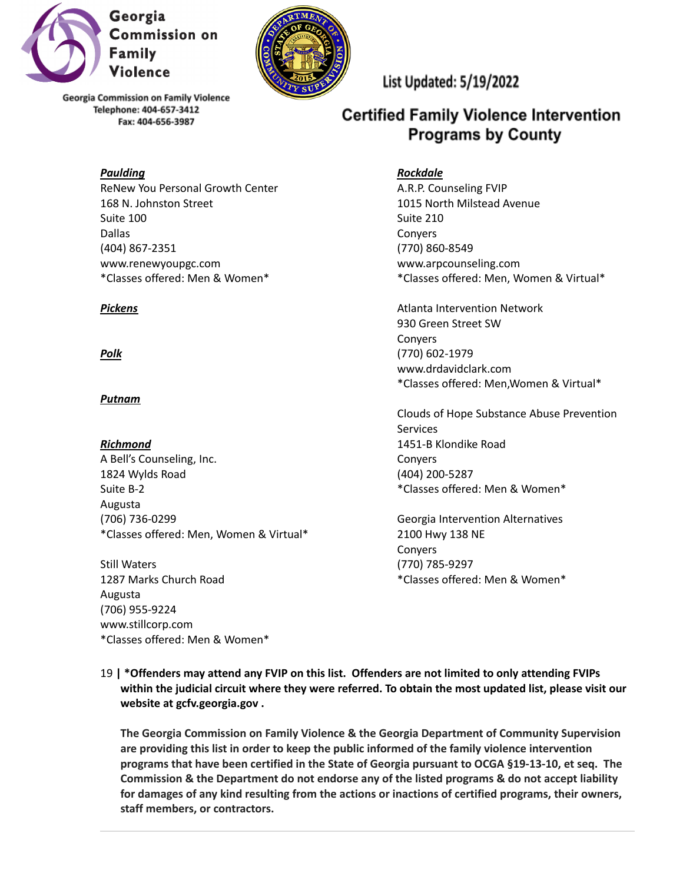



#### *Paulding*

ReNew You Personal Growth Center 168 N. Johnston Street Suite 100 Dallas (404) 867-2351 www.renewyoupgc.com \*Classes offered: Men & Women\*

### *Pickens*

### *Polk*

### *Putnam*

*Richmond* A Bell's Counseling, Inc. 1824 Wylds Road Suite B-2 Augusta (706) 736-0299 \*Classes offered: Men, Women & Virtual\*

Still Waters 1287 Marks Church Road Augusta (706) 955-9224 www.stillcorp.com \*Classes offered: Men & Women\* List Updated: 5/19/2022

# **Certified Family Violence Intervention Programs by County**

### *Rockdale*

A.R.P. Counseling FVIP 1015 North Milstead Avenue Suite 210 Conyers (770) 860-8549 www.arpcounseling.com \*Classes offered: Men, Women & Virtual\*

Atlanta Intervention Network 930 Green Street SW Conyers (770) 602-1979 www.drdavidclark.com \*Classes offered: Men,Women & Virtual\*

Clouds of Hope Substance Abuse Prevention Services 1451-B Klondike Road **Convers** (404) 200-5287 \*Classes offered: Men & Women\*

Georgia Intervention Alternatives 2100 Hwy 138 NE Conyers (770) 785-9297 \*Classes offered: Men & Women\*

19 **| \*Offenders may attend any FVIP on this list. Offenders are not limited to only attending FVIPs within the judicial circuit where they were referred. To obtain the most updated list, please visit our website at gcfv.georgia.gov .**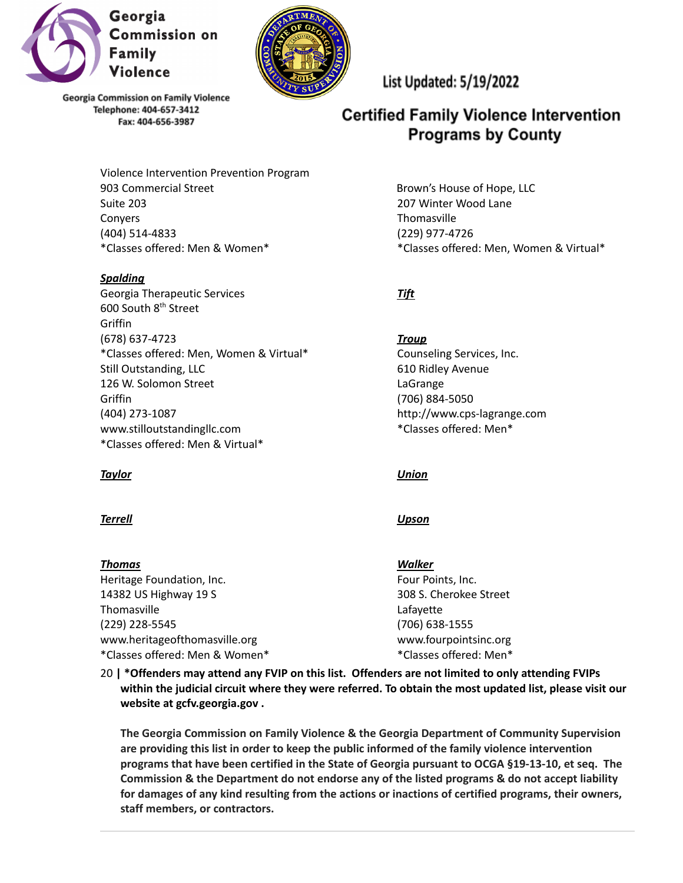



> Violence Intervention Prevention Program 903 Commercial Street Suite 203 Conyers (404) 514-4833 \*Classes offered: Men & Women\*

### *Spalding*

Georgia Therapeutic Services 600 South 8<sup>th</sup> Street **Griffin** (678) 637-4723 \*Classes offered: Men, Women & Virtual\* Still Outstanding, LLC 126 W. Solomon Street **Griffin** (404) 273-1087 www.stilloutstandingllc.com \*Classes offered: Men & Virtual\*

### *Taylor*

#### *Terrell*

#### *Thomas*

Heritage Foundation, Inc. 14382 US Highway 19 S **Thomasville** (229) 228-5545 www.heritageofthomasville.org \*Classes offered: Men & Women\*

# List Updated: 5/19/2022

# **Certified Family Violence Intervention Programs by County**

Brown's House of Hope, LLC 207 Winter Wood Lane **Thomasville** (229) 977-4726 \*Classes offered: Men, Women & Virtual\*

# *Tift*

*Troup* Counseling Services, Inc. 610 Ridley Avenue LaGrange (706) 884-5050 http://www.cps-lagrange.com \*Classes offered: Men\*

*Union*

### *Upson*

*Walker* Four Points, Inc. 308 S. Cherokee Street Lafayette (706) 638-1555 www.fourpointsinc.org \*Classes offered: Men\*

20 **| \*Offenders may attend any FVIP on this list. Offenders are not limited to only attending FVIPs within the judicial circuit where they were referred. To obtain the most updated list, please visit our website at gcfv.georgia.gov .**